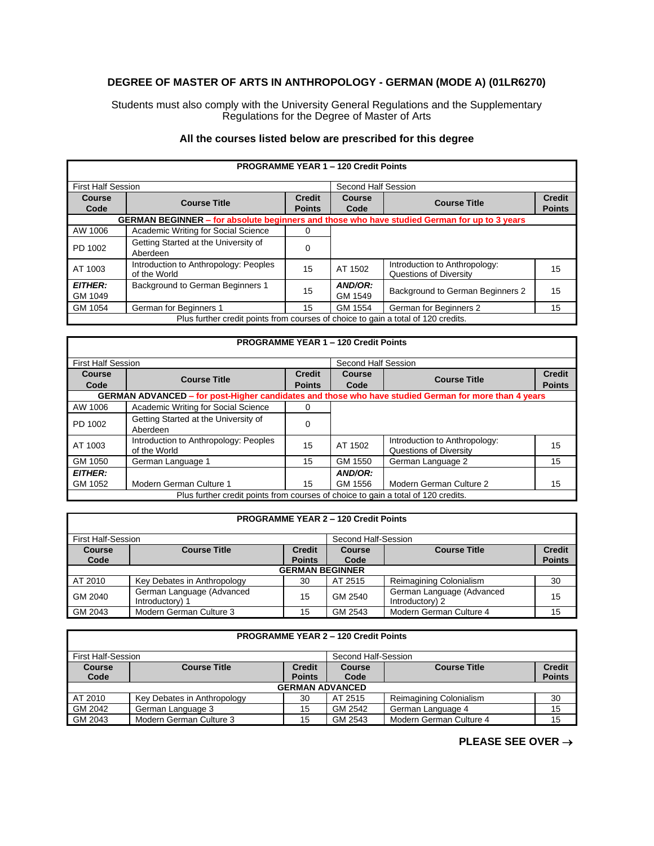## **DEGREE OF MASTER OF ARTS IN ANTHROPOLOGY - GERMAN (MODE A) (01LR6270)**

Students must also comply with the University General Regulations and the Supplementary Regulations for the Degree of Master of Arts

## **All the courses listed below are prescribed for this degree**

|                           |                                                                                              |                                | <b>PROGRAMME YEAR 1 - 120 Credit Points</b> |                                                         |                                |  |
|---------------------------|----------------------------------------------------------------------------------------------|--------------------------------|---------------------------------------------|---------------------------------------------------------|--------------------------------|--|
| <b>First Half Session</b> |                                                                                              |                                | Second Half Session                         |                                                         |                                |  |
| Course<br>Code            | <b>Course Title</b>                                                                          | <b>Credit</b><br><b>Points</b> | Course<br>Code                              | <b>Course Title</b>                                     | <b>Credit</b><br><b>Points</b> |  |
|                           | GERMAN BEGINNER - for absolute beginners and those who have studied German for up to 3 years |                                |                                             |                                                         |                                |  |
| AW 1006                   | Academic Writing for Social Science                                                          | $\Omega$                       |                                             |                                                         |                                |  |
| PD 1002                   | Getting Started at the University of<br>Aberdeen                                             | 0                              |                                             |                                                         |                                |  |
| AT 1003                   | Introduction to Anthropology: Peoples<br>of the World                                        | 15                             | AT 1502                                     | Introduction to Anthropology:<br>Questions of Diversity | 15                             |  |
| <b>EITHER:</b><br>GM 1049 | <b>Background to German Beginners 1</b>                                                      | 15                             | AND/OR:<br>GM 1549                          | Background to German Beginners 2                        | 15                             |  |
| GM 1054                   | German for Beginners 1                                                                       | 15                             | GM 1554                                     | German for Beginners 2                                  | 15                             |  |
|                           | Plus further credit points from courses of choice to gain a total of 120 credits.            |                                |                                             |                                                         |                                |  |

## **PROGRAMME YEAR 1 – 120 Credit Points**

| <b>First Half Session</b>                                                         |                                                                                                      |               | Second Half Session |                               |               |
|-----------------------------------------------------------------------------------|------------------------------------------------------------------------------------------------------|---------------|---------------------|-------------------------------|---------------|
| Course                                                                            |                                                                                                      | <b>Credit</b> | Course              | <b>Course Title</b>           | <b>Credit</b> |
| Code                                                                              | <b>Course Title</b>                                                                                  | <b>Points</b> | Code                |                               | <b>Points</b> |
|                                                                                   | GERMAN ADVANCED - for post-Higher candidates and those who have studied German for more than 4 years |               |                     |                               |               |
| AW 1006                                                                           | Academic Writing for Social Science                                                                  |               |                     |                               |               |
| PD 1002                                                                           | Getting Started at the University of                                                                 |               |                     |                               |               |
|                                                                                   | Aberdeen                                                                                             |               |                     |                               |               |
| AT 1003                                                                           | Introduction to Anthropology: Peoples                                                                | 15            | AT 1502             | Introduction to Anthropology: | 15            |
|                                                                                   | of the World                                                                                         |               |                     | Questions of Diversity        |               |
| GM 1050                                                                           | German Language 1                                                                                    | 15            | GM 1550             | German Language 2             | 15            |
| <b>EITHER:</b>                                                                    |                                                                                                      |               | AND/OR:             |                               |               |
| GM 1052                                                                           | Modern German Culture 1                                                                              | 15            | GM 1556             | Modern German Culture 2       | 15            |
| Plus further credit points from courses of choice to gain a total of 120 credits. |                                                                                                      |               |                     |                               |               |

## **PROGRAMME YEAR 2 – 120 Credit Points**

| First Half-Session    |                                              |                                |                       |                                              |                                |
|-----------------------|----------------------------------------------|--------------------------------|-----------------------|----------------------------------------------|--------------------------------|
|                       |                                              |                                | Second Half-Session   |                                              |                                |
| <b>Course</b><br>Code | <b>Course Title</b>                          | <b>Credit</b><br><b>Points</b> | <b>Course</b><br>Code | <b>Course Title</b>                          | <b>Credit</b><br><b>Points</b> |
|                       |                                              | <b>GERMAN BEGINNER</b>         |                       |                                              |                                |
| AT 2010               | Key Debates in Anthropology                  | 30                             | AT 2515               | Reimagining Colonialism                      | 30                             |
| GM 2040               | German Language (Advanced<br>Introductory) 1 | 15                             | GM 2540               | German Language (Advanced<br>Introductory) 2 | 15                             |
| GM 2043               | Modern German Culture 3                      | 15                             | GM 2543               | Modern German Culture 4                      | 15                             |

|                           | <b>PROGRAMME YEAR 2 - 120 Credit Points</b> |               |                     |                         |               |  |
|---------------------------|---------------------------------------------|---------------|---------------------|-------------------------|---------------|--|
| <b>First Half-Session</b> |                                             |               | Second Half-Session |                         |               |  |
| <b>Course</b>             | <b>Course Title</b>                         | <b>Credit</b> | <b>Course</b>       | <b>Course Title</b>     | <b>Credit</b> |  |
| Code                      |                                             | <b>Points</b> | Code                |                         | <b>Points</b> |  |
|                           | <b>GERMAN ADVANCED</b>                      |               |                     |                         |               |  |
| AT 2010                   | Key Debates in Anthropology                 | 30            | AT 2515             | Reimagining Colonialism | 30            |  |
| GM 2042                   | German Language 3                           | 15            | GM 2542             | German Language 4       | 15            |  |
| GM 2043                   | Modern German Culture 3                     | 15            | GM 2543             | Modern German Culture 4 | 15            |  |

**PLEASE SEE OVER** →